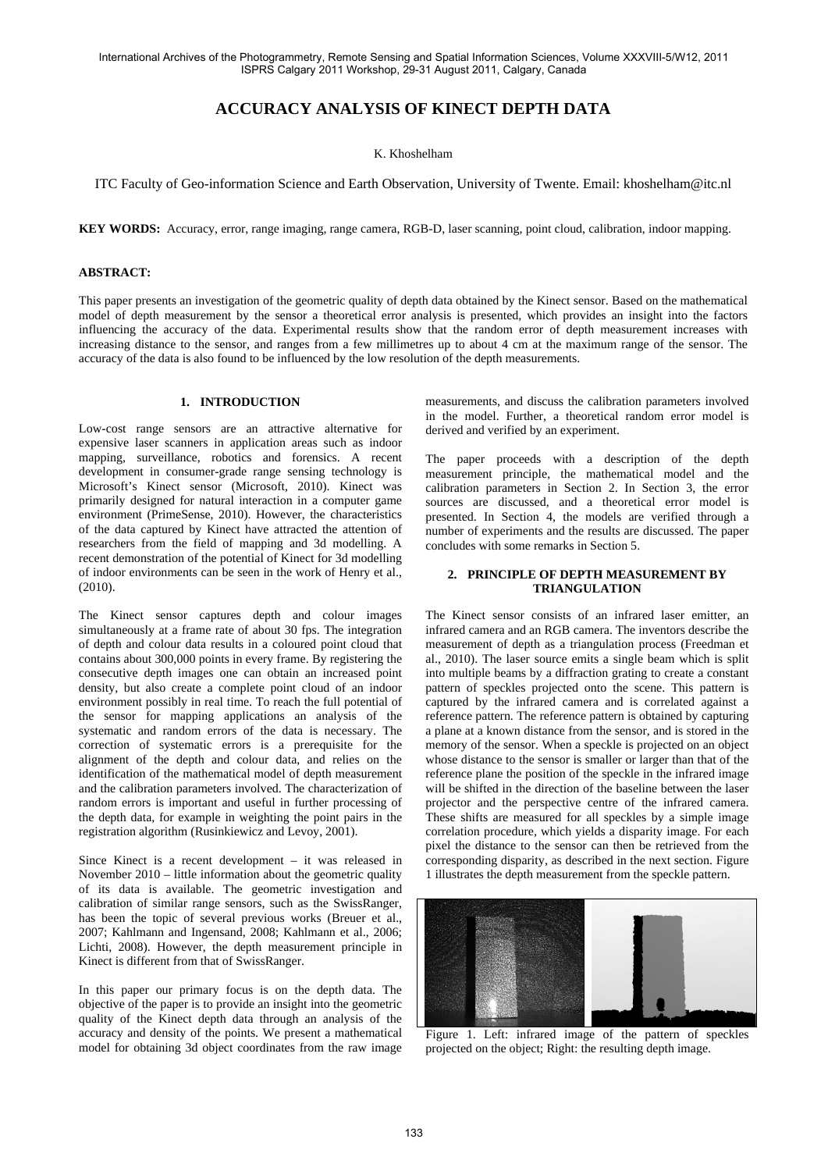# **ACCURACY ANALYSIS OF KINECT DEPTH DATA**

# K. Khoshelham

ITC Faculty of Geo-information Science and Earth Observation, University of Twente. Email: khoshelham@itc.nl

**KEY WORDS:** Accuracy, error, range imaging, range camera, RGB-D, laser scanning, point cloud, calibration, indoor mapping.

### **ABSTRACT:**

This paper presents an investigation of the geometric quality of depth data obtained by the Kinect sensor. Based on the mathematical model of depth measurement by the sensor a theoretical error analysis is presented, which provides an insight into the factors influencing the accuracy of the data. Experimental results show that the random error of depth measurement increases with increasing distance to the sensor, and ranges from a few millimetres up to about 4 cm at the maximum range of the sensor. The accuracy of the data is also found to be influenced by the low resolution of the depth measurements.

### **1. INTRODUCTION**

Low-cost range sensors are an attractive alternative for expensive laser scanners in application areas such as indoor mapping, surveillance, robotics and forensics. A recent development in consumer-grade range sensing technology is Microsoft's Kinect sensor (Microsoft, 2010). Kinect was primarily designed for natural interaction in a computer game environment (PrimeSense, 2010). However, the characteristics of the data captured by Kinect have attracted the attention of researchers from the field of mapping and 3d modelling. A recent demonstration of the potential of Kinect for 3d modelling of indoor environments can be seen in the work of Henry et al., (2010).

The Kinect sensor captures depth and colour images simultaneously at a frame rate of about 30 fps. The integration of depth and colour data results in a coloured point cloud that contains about 300,000 points in every frame. By registering the consecutive depth images one can obtain an increased point density, but also create a complete point cloud of an indoor environment possibly in real time. To reach the full potential of the sensor for mapping applications an analysis of the systematic and random errors of the data is necessary. The correction of systematic errors is a prerequisite for the alignment of the depth and colour data, and relies on the identification of the mathematical model of depth measurement and the calibration parameters involved. The characterization of random errors is important and useful in further processing of the depth data, for example in weighting the point pairs in the registration algorithm (Rusinkiewicz and Levoy, 2001).

Since Kinect is a recent development – it was released in November 2010 – little information about the geometric quality of its data is available. The geometric investigation and calibration of similar range sensors, such as the SwissRanger, has been the topic of several previous works (Breuer et al., 2007; Kahlmann and Ingensand, 2008; Kahlmann et al., 2006; Lichti, 2008). However, the depth measurement principle in Kinect is different from that of SwissRanger.

In this paper our primary focus is on the depth data. The objective of the paper is to provide an insight into the geometric quality of the Kinect depth data through an analysis of the accuracy and density of the points. We present a mathematical model for obtaining 3d object coordinates from the raw image

measurements, and discuss the calibration parameters involved in the model. Further, a theoretical random error model is derived and verified by an experiment.

The paper proceeds with a description of the depth measurement principle, the mathematical model and the calibration parameters in Section 2. In Section 3, the error sources are discussed, and a theoretical error model is presented. In Section 4, the models are verified through a number of experiments and the results are discussed. The paper concludes with some remarks in Section 5.

# **2. PRINCIPLE OF DEPTH MEASUREMENT BY TRIANGULATION**

The Kinect sensor consists of an infrared laser emitter, an infrared camera and an RGB camera. The inventors describe the measurement of depth as a triangulation process (Freedman et al., 2010). The laser source emits a single beam which is split into multiple beams by a diffraction grating to create a constant pattern of speckles projected onto the scene. This pattern is captured by the infrared camera and is correlated against a reference pattern. The reference pattern is obtained by capturing a plane at a known distance from the sensor, and is stored in the memory of the sensor. When a speckle is projected on an object whose distance to the sensor is smaller or larger than that of the reference plane the position of the speckle in the infrared image will be shifted in the direction of the baseline between the laser projector and the perspective centre of the infrared camera. These shifts are measured for all speckles by a simple image correlation procedure, which yields a disparity image. For each pixel the distance to the sensor can then be retrieved from the corresponding disparity, as described in the next section. Figure 1 illustrates the depth measurement from the speckle pattern.



Figure 1. Left: infrared image of the pattern of speckles projected on the object; Right: the resulting depth image.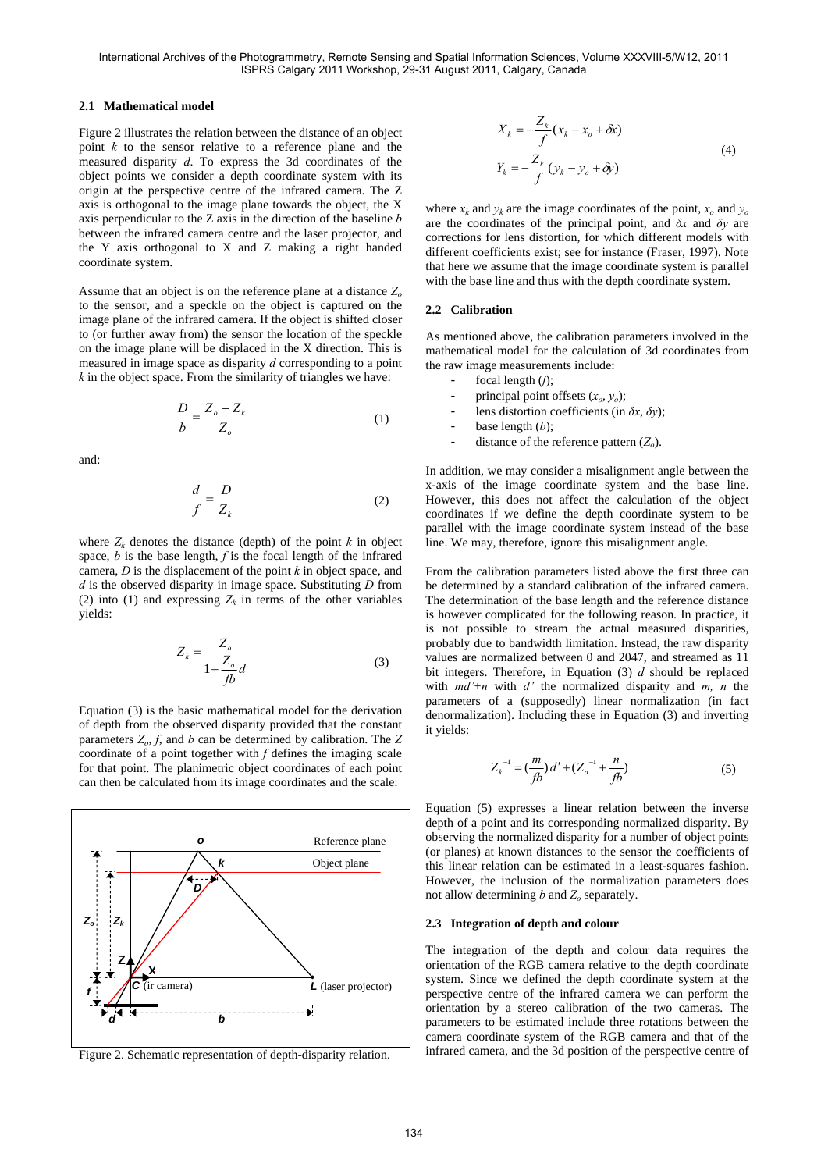# **2.1 Mathematical model**

Figure 2 illustrates the relation between the distance of an object point *k* to the sensor relative to a reference plane and the measured disparity *d*. To express the 3d coordinates of the object points we consider a depth coordinate system with its origin at the perspective centre of the infrared camera. The Z axis is orthogonal to the image plane towards the object, the X axis perpendicular to the Z axis in the direction of the baseline *b* between the infrared camera centre and the laser projector, and the Y axis orthogonal to X and Z making a right handed coordinate system.

Assume that an object is on the reference plane at a distance *Zo* to the sensor, and a speckle on the object is captured on the image plane of the infrared camera. If the object is shifted closer to (or further away from) the sensor the location of the speckle on the image plane will be displaced in the X direction. This is measured in image space as disparity *d* corresponding to a point *k* in the object space. From the similarity of triangles we have:

$$
\frac{D}{b} = \frac{Z_o - Z_k}{Z_o} \tag{1}
$$

and:

$$
\frac{d}{f} = \frac{D}{Z_k} \tag{2}
$$

where  $Z_k$  denotes the distance (depth) of the point  $k$  in object space, *b* is the base length, *f* is the focal length of the infrared camera, *D* is the displacement of the point *k* in object space, and *d* is the observed disparity in image space. Substituting *D* from (2) into (1) and expressing  $Z_k$  in terms of the other variables yields:

$$
Z_k = \frac{Z_o}{1 + \frac{Z_o}{fb}d}
$$
 (3)

Equation (3) is the basic mathematical model for the derivation of depth from the observed disparity provided that the constant parameters  $Z_0$ ,  $f$ , and  $b$  can be determined by calibration. The  $Z$ coordinate of a point together with *f* defines the imaging scale for that point. The planimetric object coordinates of each point can then be calculated from its image coordinates and the scale:



Figure 2. Schematic representation of depth-disparity relation.

$$
X_k = -\frac{Z_k}{f}(x_k - x_o + \delta x)
$$
  

$$
Y_k = -\frac{Z_k}{f}(y_k - y_o + \delta y)
$$
 (4)

where  $x_k$  and  $y_k$  are the image coordinates of the point,  $x_0$  and  $y_0$ are the coordinates of the principal point, and *δx* and *δy* are corrections for lens distortion, for which different models with different coefficients exist; see for instance (Fraser, 1997). Note that here we assume that the image coordinate system is parallel with the base line and thus with the depth coordinate system.

### **2.2 Calibration**

As mentioned above, the calibration parameters involved in the mathematical model for the calculation of 3d coordinates from the raw image measurements include:

- focal length (f);
- principal point offsets  $(x_o, y_o)$ ;
- lens distortion coefficients (in  $\delta x$ ,  $\delta y$ );
- base length  $(b)$ ;
- distance of the reference pattern  $(Z_o)$ .

In addition, we may consider a misalignment angle between the x-axis of the image coordinate system and the base line. However, this does not affect the calculation of the object coordinates if we define the depth coordinate system to be parallel with the image coordinate system instead of the base line. We may, therefore, ignore this misalignment angle.

From the calibration parameters listed above the first three can be determined by a standard calibration of the infrared camera. The determination of the base length and the reference distance is however complicated for the following reason. In practice, it is not possible to stream the actual measured disparities, probably due to bandwidth limitation. Instead, the raw disparity values are normalized between 0 and 2047, and streamed as 11 bit integers. Therefore, in Equation (3) *d* should be replaced with  $md'+n$  with  $d'$  the normalized disparity and  $m, n$  the parameters of a (supposedly) linear normalization (in fact denormalization). Including these in Equation (3) and inverting it yields:

$$
Z_k^{-1} = \left(\frac{m}{fb}\right)d' + \left(Z_o^{-1} + \frac{n}{fb}\right)
$$
 (5)

Equation (5) expresses a linear relation between the inverse depth of a point and its corresponding normalized disparity. By observing the normalized disparity for a number of object points (or planes) at known distances to the sensor the coefficients of this linear relation can be estimated in a least-squares fashion. However, the inclusion of the normalization parameters does not allow determining  $b$  and  $Z<sub>o</sub>$  separately.

### **2.3 Integration of depth and colour**

The integration of the depth and colour data requires the orientation of the RGB camera relative to the depth coordinate system. Since we defined the depth coordinate system at the perspective centre of the infrared camera we can perform the orientation by a stereo calibration of the two cameras. The parameters to be estimated include three rotations between the camera coordinate system of the RGB camera and that of the infrared camera, and the 3d position of the perspective centre of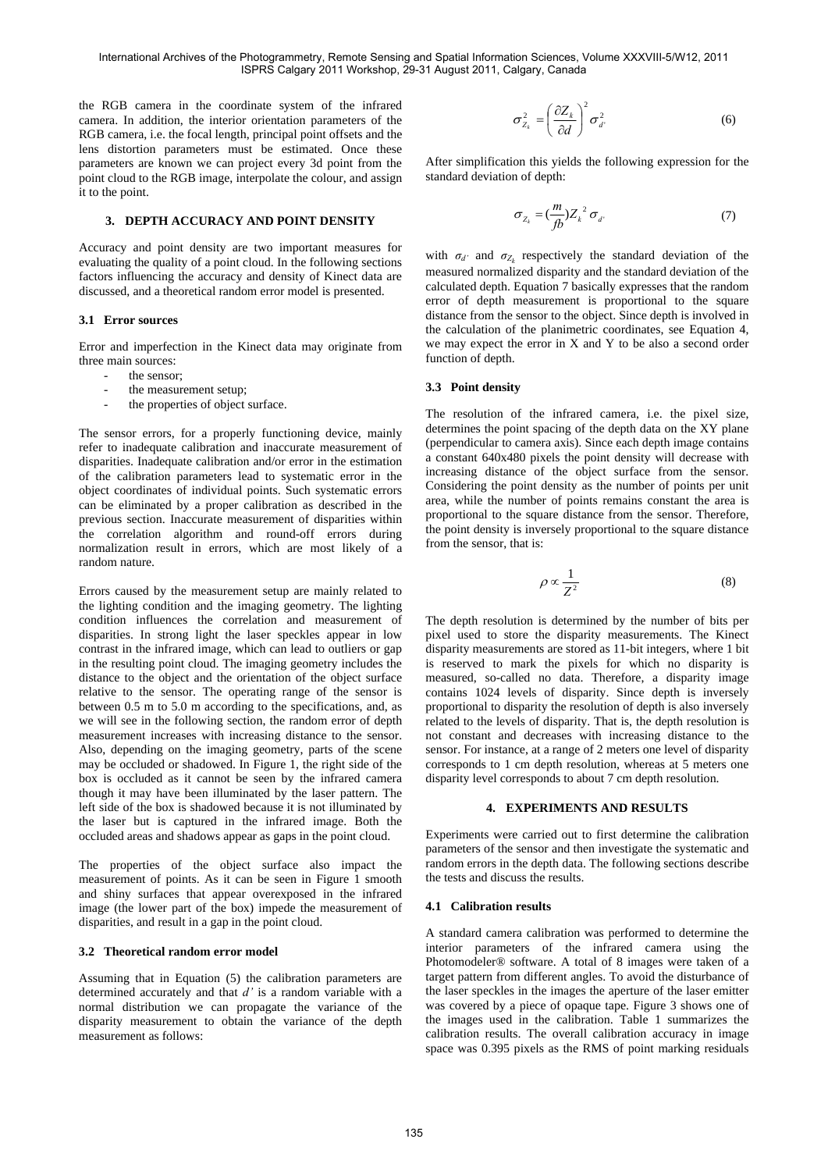the RGB camera in the coordinate system of the infrared camera. In addition, the interior orientation parameters of the RGB camera, i.e. the focal length, principal point offsets and the lens distortion parameters must be estimated. Once these parameters are known we can project every 3d point from the point cloud to the RGB image, interpolate the colour, and assign it to the point.

# **3. DEPTH ACCURACY AND POINT DENSITY**

Accuracy and point density are two important measures for evaluating the quality of a point cloud. In the following sections factors influencing the accuracy and density of Kinect data are discussed, and a theoretical random error model is presented.

#### **3.1 Error sources**

Error and imperfection in the Kinect data may originate from three main sources:

- the sensor:
- the measurement setup;
- the properties of object surface.

The sensor errors, for a properly functioning device, mainly refer to inadequate calibration and inaccurate measurement of disparities. Inadequate calibration and/or error in the estimation of the calibration parameters lead to systematic error in the object coordinates of individual points. Such systematic errors can be eliminated by a proper calibration as described in the previous section. Inaccurate measurement of disparities within the correlation algorithm and round-off errors during normalization result in errors, which are most likely of a random nature.

Errors caused by the measurement setup are mainly related to the lighting condition and the imaging geometry. The lighting condition influences the correlation and measurement of disparities. In strong light the laser speckles appear in low contrast in the infrared image, which can lead to outliers or gap in the resulting point cloud. The imaging geometry includes the distance to the object and the orientation of the object surface relative to the sensor. The operating range of the sensor is between 0.5 m to 5.0 m according to the specifications, and, as we will see in the following section, the random error of depth measurement increases with increasing distance to the sensor. Also, depending on the imaging geometry, parts of the scene may be occluded or shadowed. In Figure 1, the right side of the box is occluded as it cannot be seen by the infrared camera though it may have been illuminated by the laser pattern. The left side of the box is shadowed because it is not illuminated by the laser but is captured in the infrared image. Both the occluded areas and shadows appear as gaps in the point cloud.

The properties of the object surface also impact the measurement of points. As it can be seen in Figure 1 smooth and shiny surfaces that appear overexposed in the infrared image (the lower part of the box) impede the measurement of disparities, and result in a gap in the point cloud.

#### **3.2 Theoretical random error model**

Assuming that in Equation (5) the calibration parameters are determined accurately and that *d'* is a random variable with a normal distribution we can propagate the variance of the disparity measurement to obtain the variance of the depth measurement as follows:

$$
\sigma_{Z_k}^2 = \left(\frac{\partial Z_k}{\partial d}\right)^2 \sigma_d^2 \tag{6}
$$

After simplification this yields the following expression for the standard deviation of depth:

$$
\sigma_{Z_k} = \left(\frac{m}{fb}\right)Z_k^2 \sigma_d. \tag{7}
$$

with  $\sigma_{d'}$  and  $\sigma_{Z_k}$  respectively the standard deviation of the measured normalized disparity and the standard deviation of the calculated depth. Equation 7 basically expresses that the random error of depth measurement is proportional to the square distance from the sensor to the object. Since depth is involved in the calculation of the planimetric coordinates, see Equation 4, we may expect the error in X and Y to be also a second order function of depth.

### **3.3 Point density**

The resolution of the infrared camera, i.e. the pixel size, determines the point spacing of the depth data on the XY plane (perpendicular to camera axis). Since each depth image contains a constant 640x480 pixels the point density will decrease with increasing distance of the object surface from the sensor. Considering the point density as the number of points per unit area, while the number of points remains constant the area is proportional to the square distance from the sensor. Therefore, the point density is inversely proportional to the square distance from the sensor, that is:

$$
\rho \propto \frac{1}{Z^2} \tag{8}
$$

The depth resolution is determined by the number of bits per pixel used to store the disparity measurements. The Kinect disparity measurements are stored as 11-bit integers, where 1 bit is reserved to mark the pixels for which no disparity is measured, so-called no data. Therefore, a disparity image contains 1024 levels of disparity. Since depth is inversely proportional to disparity the resolution of depth is also inversely related to the levels of disparity. That is, the depth resolution is not constant and decreases with increasing distance to the sensor. For instance, at a range of 2 meters one level of disparity corresponds to 1 cm depth resolution, whereas at 5 meters one disparity level corresponds to about 7 cm depth resolution.

# **4. EXPERIMENTS AND RESULTS**

Experiments were carried out to first determine the calibration parameters of the sensor and then investigate the systematic and random errors in the depth data. The following sections describe the tests and discuss the results.

### **4.1 Calibration results**

A standard camera calibration was performed to determine the interior parameters of the infrared camera using the Photomodeler® software. A total of 8 images were taken of a target pattern from different angles. To avoid the disturbance of the laser speckles in the images the aperture of the laser emitter was covered by a piece of opaque tape. Figure 3 shows one of the images used in the calibration. Table 1 summarizes the calibration results. The overall calibration accuracy in image space was 0.395 pixels as the RMS of point marking residuals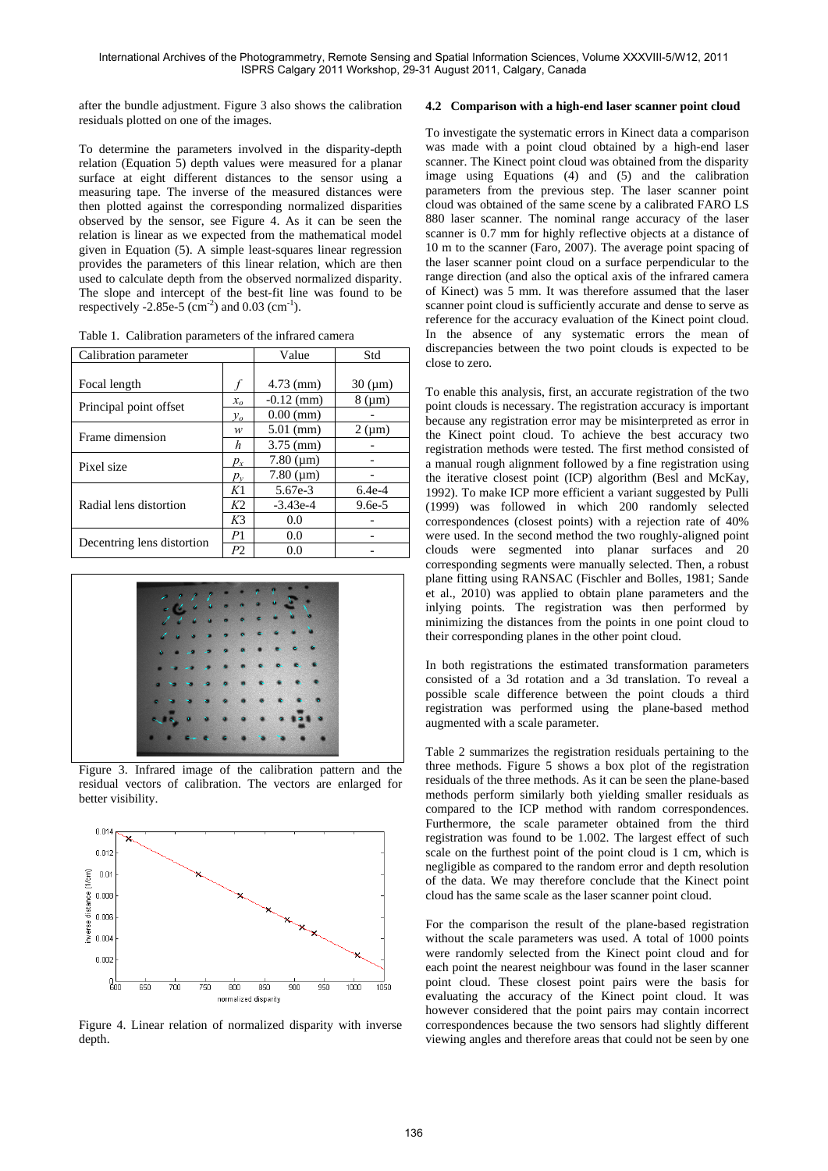after the bundle adjustment. Figure 3 also shows the calibration residuals plotted on one of the images.

To determine the parameters involved in the disparity-depth relation (Equation 5) depth values were measured for a planar surface at eight different distances to the sensor using a measuring tape. The inverse of the measured distances were then plotted against the corresponding normalized disparities observed by the sensor, see Figure 4. As it can be seen the relation is linear as we expected from the mathematical model given in Equation (5). A simple least-squares linear regression provides the parameters of this linear relation, which are then used to calculate depth from the observed normalized disparity. The slope and intercept of the best-fit line was found to be respectively -2.85e-5 (cm<sup>-2</sup>) and 0.03 (cm<sup>-1</sup>).

Table 1. Calibration parameters of the infrared camera

| Calibration parameter           |                | Value             | Std              |
|---------------------------------|----------------|-------------------|------------------|
|                                 |                |                   |                  |
| Focal length                    |                | $4.73$ (mm)       | $30 \, (\mu m)$  |
|                                 | $x_{\alpha}$   | $-0.12$ (mm)      | $8 \, (\mu m)$   |
| Principal point offset<br>$y_o$ |                | $0.00$ (mm)       |                  |
| Frame dimension                 | w              | $5.01$ (mm)       | $2 \text{ (µm)}$ |
|                                 | h              | $3.75$ (mm)       |                  |
| Pixel size                      | $p_{x}$        | $7.80 \, (\mu m)$ |                  |
|                                 | $p_v$          | $7.80 \, (\mu m)$ |                  |
| Radial lens distortion          | K1             | 5.67e-3           | $6.4e-4$         |
|                                 | K <sub>2</sub> | $-3.43e-4$        | $9.6e-5$         |
|                                 | K <sub>3</sub> | 0.0               |                  |
| Decentring lens distortion      | P <sub>1</sub> | 0.0               |                  |
|                                 | P2             | 0.0               |                  |



Figure 3. Infrared image of the calibration pattern and the residual vectors of calibration. The vectors are enlarged for better visibility.



Figure 4. Linear relation of normalized disparity with inverse depth.

# **4.2 Comparison with a high-end laser scanner point cloud**

To investigate the systematic errors in Kinect data a comparison was made with a point cloud obtained by a high-end laser scanner. The Kinect point cloud was obtained from the disparity image using Equations (4) and (5) and the calibration parameters from the previous step. The laser scanner point cloud was obtained of the same scene by a calibrated FARO LS 880 laser scanner. The nominal range accuracy of the laser scanner is 0.7 mm for highly reflective objects at a distance of 10 m to the scanner (Faro, 2007). The average point spacing of the laser scanner point cloud on a surface perpendicular to the range direction (and also the optical axis of the infrared camera of Kinect) was 5 mm. It was therefore assumed that the laser scanner point cloud is sufficiently accurate and dense to serve as reference for the accuracy evaluation of the Kinect point cloud. In the absence of any systematic errors the mean of discrepancies between the two point clouds is expected to be close to zero.

To enable this analysis, first, an accurate registration of the two point clouds is necessary. The registration accuracy is important because any registration error may be misinterpreted as error in the Kinect point cloud. To achieve the best accuracy two registration methods were tested. The first method consisted of a manual rough alignment followed by a fine registration using the iterative closest point (ICP) algorithm (Besl and McKay, 1992). To make ICP more efficient a variant suggested by Pulli (1999) was followed in which 200 randomly selected correspondences (closest points) with a rejection rate of 40% were used. In the second method the two roughly-aligned point clouds were segmented into planar surfaces and 20 corresponding segments were manually selected. Then, a robust plane fitting using RANSAC (Fischler and Bolles, 1981; Sande et al., 2010) was applied to obtain plane parameters and the inlying points. The registration was then performed by minimizing the distances from the points in one point cloud to their corresponding planes in the other point cloud.

In both registrations the estimated transformation parameters consisted of a 3d rotation and a 3d translation. To reveal a possible scale difference between the point clouds a third registration was performed using the plane-based method augmented with a scale parameter.

Table 2 summarizes the registration residuals pertaining to the three methods. Figure 5 shows a box plot of the registration residuals of the three methods. As it can be seen the plane-based methods perform similarly both yielding smaller residuals as compared to the ICP method with random correspondences. Furthermore, the scale parameter obtained from the third registration was found to be 1.002. The largest effect of such scale on the furthest point of the point cloud is 1 cm, which is negligible as compared to the random error and depth resolution of the data. We may therefore conclude that the Kinect point cloud has the same scale as the laser scanner point cloud.

For the comparison the result of the plane-based registration without the scale parameters was used. A total of 1000 points were randomly selected from the Kinect point cloud and for each point the nearest neighbour was found in the laser scanner point cloud. These closest point pairs were the basis for evaluating the accuracy of the Kinect point cloud. It was however considered that the point pairs may contain incorrect correspondences because the two sensors had slightly different viewing angles and therefore areas that could not be seen by one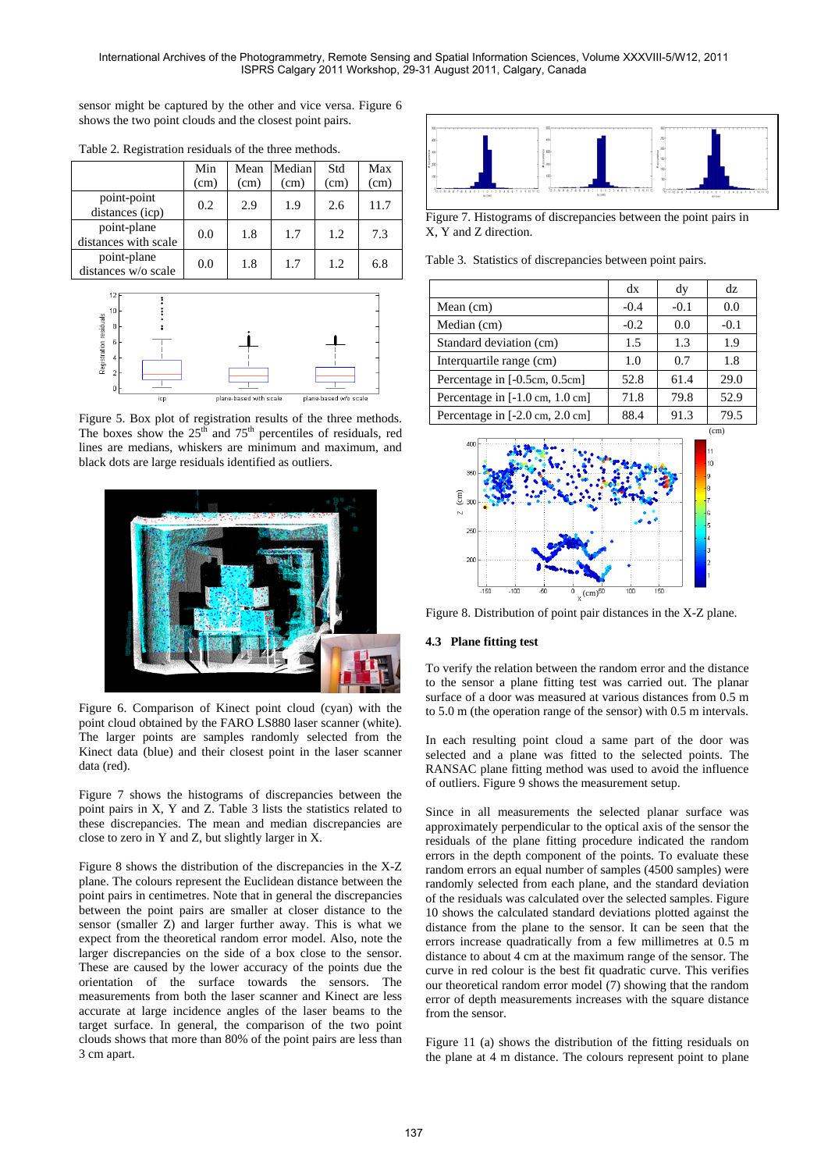sensor might be captured by the other and vice versa. Figure 6 shows the two point clouds and the closest point pairs.

|                                     | Min<br>(cm) | Mean<br>(cm) | Median<br>(cm) | Std<br>(cm) | Max<br>(cm) |
|-------------------------------------|-------------|--------------|----------------|-------------|-------------|
| point-point<br>distances (icp)      | 0.2         | 2.9          | 1.9            | 2.6         | 11.7        |
| point-plane<br>distances with scale | 0.0         | 1.8          | 1.7            | 1.2         | 7.3         |
| point-plane<br>distances w/o scale  | 0.0         | 1.8          | 1.7            | 1.2.        | 6.8         |

Table 2. Registration residuals of the three methods.



Figure 5. Box plot of registration results of the three methods. The boxes show the  $25<sup>th</sup>$  and  $75<sup>th</sup>$  percentiles of residuals, red lines are medians, whiskers are minimum and maximum, and black dots are large residuals identified as outliers.



Figure 6. Comparison of Kinect point cloud (cyan) with the point cloud obtained by the FARO LS880 laser scanner (white). The larger points are samples randomly selected from the Kinect data (blue) and their closest point in the laser scanner data (red).

Figure 7 shows the histograms of discrepancies between the point pairs in X, Y and Z. Table 3 lists the statistics related to these discrepancies. The mean and median discrepancies are close to zero in Y and Z, but slightly larger in X.

Figure 8 shows the distribution of the discrepancies in the X-Z plane. The colours represent the Euclidean distance between the point pairs in centimetres. Note that in general the discrepancies between the point pairs are smaller at closer distance to the sensor (smaller Z) and larger further away. This is what we expect from the theoretical random error model. Also, note the larger discrepancies on the side of a box close to the sensor. These are caused by the lower accuracy of the points due the orientation of the surface towards the sensors. The measurements from both the laser scanner and Kinect are less accurate at large incidence angles of the laser beams to the target surface. In general, the comparison of the two point clouds shows that more than 80% of the point pairs are less than 3 cm apart.



Figure 7. Histograms of discrepancies between the point pairs in X, Y and Z direction.

Table 3. Statistics of discrepancies between point pairs.

|                                                   | dx     | dy     | dz.    |
|---------------------------------------------------|--------|--------|--------|
| Mean $(cm)$                                       | $-0.4$ | $-0.1$ | 0.0    |
| Median (cm)                                       | $-0.2$ | 0.0    | $-0.1$ |
| Standard deviation (cm)                           | 1.5    | 1.3    | 1.9    |
| Interquartile range (cm)                          | 1.0    | 0.7    | 1.8    |
| Percentage in [-0.5cm, 0.5cm]                     | 52.8   | 61.4   | 29.0   |
| Percentage in [-1.0 cm, 1.0 cm]                   | 71.8   | 79.8   | 52.9   |
| Percentage in $[-2.0 \text{ cm}, 2.0 \text{ cm}]$ | 88.4   | 91.3   | 79.5   |



Figure 8. Distribution of point pair distances in the X-Z plane.

# **4.3 Plane fitting test**

To verify the relation between the random error and the distance to the sensor a plane fitting test was carried out. The planar surface of a door was measured at various distances from 0.5 m to 5.0 m (the operation range of the sensor) with 0.5 m intervals.

In each resulting point cloud a same part of the door was selected and a plane was fitted to the selected points. The RANSAC plane fitting method was used to avoid the influence of outliers. Figure 9 shows the measurement setup.

Since in all measurements the selected planar surface was approximately perpendicular to the optical axis of the sensor the residuals of the plane fitting procedure indicated the random errors in the depth component of the points. To evaluate these random errors an equal number of samples (4500 samples) were randomly selected from each plane, and the standard deviation of the residuals was calculated over the selected samples. Figure 10 shows the calculated standard deviations plotted against the distance from the plane to the sensor. It can be seen that the errors increase quadratically from a few millimetres at 0.5 m distance to about 4 cm at the maximum range of the sensor. The curve in red colour is the best fit quadratic curve. This verifies our theoretical random error model (7) showing that the random error of depth measurements increases with the square distance from the sensor.

Figure 11 (a) shows the distribution of the fitting residuals on the plane at 4 m distance. The colours represent point to plane